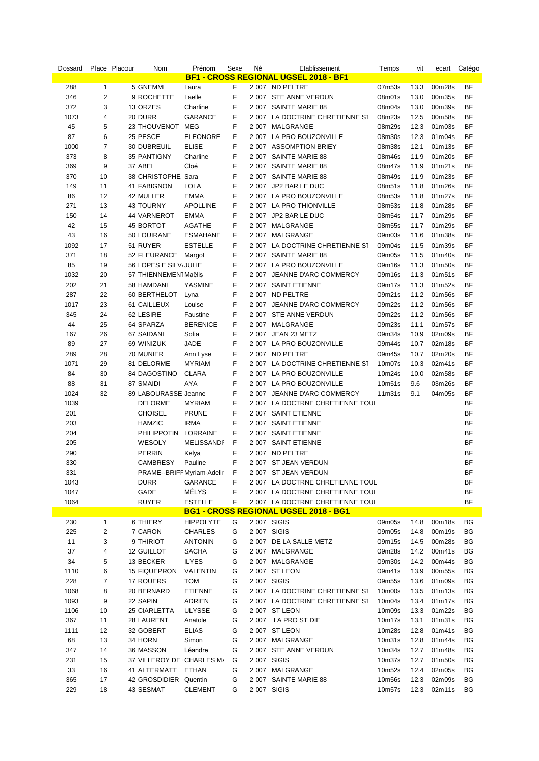| Dossard |                | Place Placour<br>Nom       | Prénom            | Sexe | Né      | Etablissement                                 | Temps              | vit  | ecart  | Catégo    |
|---------|----------------|----------------------------|-------------------|------|---------|-----------------------------------------------|--------------------|------|--------|-----------|
|         |                |                            |                   |      |         | <b>BF1 - CROSS REGIONAL UGSEL 2018 - BF1</b>  |                    |      |        |           |
| 288     | $\mathbf{1}$   | 5 GNEMMI                   | Laura             | F    |         | 2 007 ND PELTRE                               | 07m53s             | 13.3 | 00m28s | BF        |
| 346     | 2              | 9 ROCHETTE                 | Laelle            | F    |         | 2 007 STE ANNE VERDUN                         | 08m01s             | 13.0 | 00m35s | ΒF        |
| 372     | 3              | 13 ORZES                   | Charline          | F    |         | 2 007 SAINTE MARIE 88                         | 08m04s             | 13.0 | 00m39s | BF        |
| 1073    | 4              | 20 DURR                    | <b>GARANCE</b>    | F    | 2 0 0 7 | LA DOCTRINE CHRETIENNE ST                     | 08m23s             | 12.5 | 00m58s | BF        |
| 45      | 5              | 23 THOUVENOT               | MEG               | F    |         | 2 007 MALGRANGE                               | 08m29s             | 12.3 | 01m03s | BF        |
| 87      | 6              | 25 PESCE                   | <b>ELEONORE</b>   | F    |         | 2 007 LA PRO BOUZONVILLE                      | 08m30s             | 12.3 | 01m04s | BF        |
| 1000    | $\overline{7}$ | 30 DUBREUIL                | <b>ELISE</b>      | F    |         | 2 007 ASSOMPTION BRIEY                        | 08m38s             | 12.1 | 01m13s | <b>BF</b> |
| 373     | 8              | 35 PANTIGNY                | Charline          | F    | 2 0 0 7 | SAINTE MARIE 88                               | 08m46s             | 11.9 | 01m20s | <b>BF</b> |
| 369     | 9              | 37 ABEL                    | Cloé              | F    |         | 2 007 SAINTE MARIE 88                         | 08m47s             | 11.9 | 01m21s | BF        |
| 370     | 10             | 38 CHRISTOPHE Sara         |                   | F    |         | 2 007 SAINTE MARIE 88                         | 08m49s             | 11.9 | 01m23s | BF        |
| 149     | 11             | 41 FABIGNON                | <b>LOLA</b>       | F    |         | 2 007 JP2 BAR LE DUC                          | 08m51s             | 11.8 | 01m26s | <b>BF</b> |
|         | 12             | 42 MULLER                  | <b>EMMA</b>       | F    |         |                                               |                    |      |        | BF        |
| 86      |                |                            |                   |      |         | 2 007 LA PRO BOUZONVILLE                      | 08m53s             | 11.8 | 01m27s |           |
| 271     | 13             | <b>43 TOURNY</b>           | <b>APOLLINE</b>   | F    |         | 2 007 LA PRO THIONVILLE                       | 08m53s             | 11.8 | 01m28s | BF        |
| 150     | 14             | 44 VARNEROT                | <b>EMMA</b>       | F    |         | 2 007 JP2 BAR LE DUC                          | 08m54s             | 11.7 | 01m29s | BF        |
| 42      | 15             | 45 BORTOT                  | <b>AGATHE</b>     | F    |         | 2 007 MALGRANGE                               | 08m55s             | 11.7 | 01m29s | BF        |
| 43      | 16             | 50 LOUIRANE                | <b>ESMAHANE</b>   | F    |         | 2 007 MALGRANGE                               | 09m03s             | 11.6 | 01m38s | BF        |
| 1092    | 17             | 51 RUYER                   | <b>ESTELLE</b>    | F    |         | 2 007 LA DOCTRINE CHRETIENNE ST               | 09m04s             | 11.5 | 01m39s | BF        |
| 371     | 18             | 52 FLEURANCE Margot        |                   | F    | 2 0 0 7 | SAINTE MARIE 88                               | 09m05s             | 11.5 | 01m40s | BF        |
| 85      | 19             | 56 LOPES E SILV, JULIE     |                   | F    |         | 2 007 LA PRO BOUZONVILLE                      | 09m16s             | 11.3 | 01m50s | BF        |
| 1032    | 20             | 57 THIENNEMEN Maëlis       |                   | F    |         | 2 007 JEANNE D'ARC COMMERCY                   | 09m16s             | 11.3 | 01m51s | BF        |
| 202     | 21             | 58 HAMDANI                 | <b>YASMINE</b>    | F    |         | 2 007 SAINT ETIENNE                           | 09m17s             | 11.3 | 01m52s | BF        |
| 287     | 22             | 60 BERTHELOT               | Lyna              | F    |         | 2 007 ND PELTRE                               | 09m21s             | 11.2 | 01m56s | BF        |
| 1017    | 23             | 61 CAILLEUX                | Louise            | F    |         | 2 007 JEANNE D'ARC COMMERCY                   | 09m22s             | 11.2 | 01m56s | ΒF        |
| 345     | 24             | 62 LESIRE                  | Faustine          | F    |         | 2 007 STE ANNE VERDUN                         | 09m22s             | 11.2 | 01m56s | BF        |
| 44      | 25             | 64 SPARZA                  | <b>BERENICE</b>   | F    |         | 2 007 MALGRANGE                               | 09m23s             | 11.1 | 01m57s | <b>BF</b> |
| 167     | 26             | 67 SAIDANI                 | Sofia             | F    |         | 2 007 JEAN 23 METZ                            | 09m34s             | 10.9 | 02m09s | BF        |
| 89      | 27             | 69 WINIZUK                 | <b>JADE</b>       | F    |         | 2 007 LA PRO BOUZONVILLE                      | 09m44s             | 10.7 | 02m18s | BF        |
| 289     | 28             | 70 MUNIER                  | Ann Lyse          | F    |         | 2 007 ND PELTRE                               | 09m45s             | 10.7 | 02m20s | BF        |
| 1071    | 29             | 81 DELORME                 | <b>MYRIAM</b>     | F    |         | 2 007 LA DOCTRINE CHRETIENNE ST               | 10m07s             | 10.3 | 02m41s | <b>BF</b> |
| 84      | 30             | 84 DAGOSTINO               | <b>CLARA</b>      | F    |         | 2 007 LA PRO BOUZONVILLE                      | 10m24s             | 10.0 | 02m58s | BF        |
| 88      | 31             | 87 SMAIDI                  | AYA               | F    |         | 2 007 LA PRO BOUZONVILLE                      | 10m51s             | 9.6  | 03m26s | BF        |
| 1024    | 32             | 89 LABOURASSE Jeanne       |                   | F    |         | 2 007 JEANNE D'ARC COMMERCY                   | 11 <sub>m31s</sub> | 9.1  | 04m05s | BF        |
| 1039    |                | <b>DELORME</b>             | <b>MYRIAM</b>     | F    |         | 2 007 LA DOCTRNE CHRETIENNE TOUL              |                    |      |        | BF        |
| 201     |                | <b>CHOISEL</b>             | <b>PRUNE</b>      | F    |         | 2 007 SAINT ETIENNE                           |                    |      |        | BF        |
| 203     |                | <b>HAMZIC</b>              | <b>IRMA</b>       | F    | 2 0 0 7 | <b>SAINT ETIENNE</b>                          |                    |      |        | BF        |
| 204     |                | PHILIPPOTIN                | LORRAINE          | F    | 2 0 0 7 | SAINT ETIENNE                                 |                    |      |        | BF        |
| 205     |                | WESOLY                     | <b>MELISSANDF</b> | F    | 2 007   | <b>SAINT ETIENNE</b>                          |                    |      |        | BF        |
|         |                |                            |                   |      |         |                                               |                    |      |        |           |
| 290     |                | <b>PERRIN</b>              | Kelya             | F    |         | 2 007 ND PELTRE                               |                    |      |        | ΒF        |
| 330     |                | <b>CAMBRESY</b>            | Pauline           | F    |         | 2 007 ST JEAN VERDUN                          |                    |      |        | BF        |
| 331     |                | PRAME--BRIFF Myriam-Adelir |                   | F    |         | 2 007 ST JEAN VERDUN                          |                    |      |        | ВF        |
| 1043    |                | <b>DURR</b>                | GARANCE           | F    |         | 2 007 LA DOCTRNE CHRETIENNE TOUL              |                    |      |        | ΒF        |
| 1047    |                | GADE                       | MÉLYS             | F    |         | 2 007 LA DOCTRNE CHRETIENNE TOUL              |                    |      |        | BF        |
| 1064    |                | <b>RUYER</b>               | <b>ESTELLE</b>    | F    |         | 2 007 LA DOCTRNE CHRETIENNE TOUL              |                    |      |        | BF        |
|         |                |                            |                   |      |         | <u> BG1 - CROSS REGIONAL UGSEL 2018 - BG1</u> |                    |      |        |           |
| 230     | 1              | 6 THIERY                   | <b>HIPPOLYTE</b>  | G    |         | 2 007 SIGIS                                   | 09m05s             | 14.8 | 00m18s | BG        |
| 225     | 2              | 7 CARON                    | <b>CHARLES</b>    | G    |         | 2 007 SIGIS                                   | 09m05s             | 14.8 | 00m19s | ВG        |
| 11      | 3              | 9 THIRIOT                  | <b>ANTONIN</b>    | G    |         | 2 007 DE LA SALLE METZ                        | 09m15s             | 14.5 | 00m28s | ВG        |
| 37      | 4              | 12 GUILLOT                 | <b>SACHA</b>      | G    |         | 2 007 MALGRANGE                               | 09m28s             | 14.2 | 00m41s | ВG        |
| 34      | 5              | 13 BECKER                  | <b>ILYES</b>      | G    |         | 2 007 MALGRANGE                               | 09m30s             | 14.2 | 00m44s | ВG        |
| 1110    | 6              | <b>15 FIQUEPRON</b>        | VALENTIN          | G    |         | 2 007 ST LEON                                 | 09m41s             | 13.9 | 00m55s | ВG        |
| 228     | 7              | 17 ROUERS                  | <b>TOM</b>        | G    |         | 2 007 SIGIS                                   | 09m55s             | 13.6 | 01m09s | ВG        |
| 1068    | 8              | 20 BERNARD                 | <b>ETIENNE</b>    | G    |         | 2 007 LA DOCTRINE CHRETIENNE ST               | 10m00s             | 13.5 | 01m13s | ВG        |
| 1093    | 9              | 22 SAPIN                   | ADRIEN            | G    |         | 2 007 LA DOCTRINE CHRETIENNE ST               | 10m04s             | 13.4 | 01m17s | BG        |
| 1106    | 10             | 25 CIARLETTA               | <b>ULYSSE</b>     | G    |         | 2 007 ST LEON                                 | 10m09s             | 13.3 | 01m22s | BG        |
| 367     | 11             | 28 LAURENT                 | Anatole           | G    |         | 2 007 LA PRO ST DIE                           | 10m17s             | 13.1 | 01m31s | ВG        |
| 1111    | 12             | 32 GOBERT                  | <b>ELIAS</b>      | G    |         | 2 007 ST LEON                                 | 10m28s             | 12.8 | 01m41s | ВG        |
| 68      | 13             | 34 HORN                    | Simon             | G    |         | 2 007 MALGRANGE                               | 10m31s             | 12.8 | 01m44s | BG        |
| 347     | 14             | 36 MASSON                  | Léandre           | G    |         | 2 007 STE ANNE VERDUN                         | 10m34s             | 12.7 | 01m48s | ВG        |
| 231     | 15             | 37 VILLEROY DE CHARLES M/  |                   | G    |         | 2 007 SIGIS                                   | 10m37s             | 12.7 | 01m50s | ВG        |
| 33      | 16             | 41 ALTERMATT ETHAN         |                   | G    |         | 2 007 MALGRANGE                               | 10m52s             | 12.4 | 02m05s | ВG        |
| 365     | 17             | 42 GROSDIDIER Quentin      |                   | G    |         | 2 007 SAINTE MARIE 88                         | 10m56s             | 12.3 | 02m09s | ВG        |
| 229     | 18             | 43 SESMAT                  |                   | G    |         | 2 007 SIGIS                                   | 10m57s             | 12.3 | 02m11s | ВG        |
|         |                |                            | <b>CLEMENT</b>    |      |         |                                               |                    |      |        |           |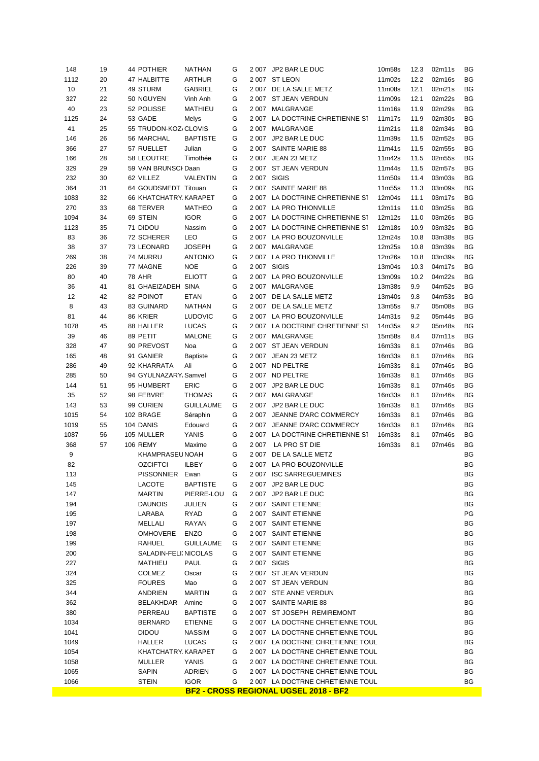| 148  | 19 | 44 POTHIER            | <b>NATHAN</b>    | G |         | 2 007   JP2 BAR LE DUC                | 10m58s             | 12.3 | 02m11s | ВG |
|------|----|-----------------------|------------------|---|---------|---------------------------------------|--------------------|------|--------|----|
| 1112 | 20 | 47 HALBITTE           | <b>ARTHUR</b>    | G |         | 2 007 ST LEON                         | 11m02s             | 12.2 | 02m16s | ΒG |
| 10   | 21 | 49 STURM              | <b>GABRIEL</b>   | G |         | 2 007 DE LA SALLE METZ                | 11m08s             | 12.1 | 02m21s | ΒG |
| 327  | 22 | 50 NGUYEN             | Vinh Anh         | G |         | 2 007 ST JEAN VERDUN                  | 11m09s             | 12.1 | 02m22s | ΒG |
| 40   | 23 | 52 POLISSE            | MATHIEU          | G |         | 2 007 MALGRANGE                       | 11m16s             | 11.9 | 02m29s | ΒG |
| 1125 | 24 | 53 GADE               | Melys            | G |         | 2 007 LA DOCTRINE CHRETIENNE ST       | 11m17s             | 11.9 | 02m30s | ΒG |
|      |    |                       |                  |   |         |                                       |                    |      |        |    |
| 41   | 25 | 55 TRUDON-KOZ CLOVIS  |                  | G |         | 2 007 MALGRANGE                       | 11 <sub>m21s</sub> | 11.8 | 02m34s | ΒG |
| 146  | 26 | 56 MARCHAL            | <b>BAPTISTE</b>  | G |         | 2 007 JP2 BAR LE DUC                  | 11m39s             | 11.5 | 02m52s | ΒG |
| 366  | 27 | 57 RUELLET            | Julian           | G |         | 2 007 SAINTE MARIE 88                 | 11m41s             | 11.5 | 02m55s | ΒG |
| 166  | 28 | 58 LEOUTRE            | Timothée         | G |         | 2 007 JEAN 23 METZ                    | 11m42s             | 11.5 | 02m55s | ΒG |
| 329  | 29 | 59 VAN BRUNSCI Daan   |                  | G |         | 2 007 ST JEAN VERDUN                  | 11m44s             | 11.5 | 02m57s | ВG |
| 232  | 30 | 62 VILLEZ             | VALENTIN         | G |         | 2 007 SIGIS                           | 11m50s             | 11.4 | 03m03s | ΒG |
| 364  | 31 | 64 GOUDSMEDT Titouan  |                  | G |         | 2 007 SAINTE MARIE 88                 | 11m55s             | 11.3 | 03m09s | ΒG |
| 1083 | 32 | 66 KHATCHATRY KARAPET |                  | G |         | 2 007 LA DOCTRINE CHRETIENNE ST       | 12m04s             | 11.1 | 03m17s | ВG |
| 270  | 33 | 68 TERVER             | <b>MATHEO</b>    | G |         | 2 007 LA PRO THIONVILLE               | 12m11s             | 11.0 | 03m25s | ΒG |
| 1094 | 34 | 69 STEIN              | <b>IGOR</b>      | G |         | 2 007 LA DOCTRINE CHRETIENNE ST       | 12m12s             | 11.0 | 03m26s | ΒG |
| 1123 | 35 | 71 DIDOU              | Nassim           | G |         | 2 007 LA DOCTRINE CHRETIENNE ST       | 12m18s             | 10.9 | 03m32s | ΒG |
|      |    |                       |                  |   |         |                                       |                    |      |        |    |
| 83   | 36 | 72 SCHERER            | <b>LEO</b>       | G |         | 2 007 LA PRO BOUZONVILLE              | 12m24s             | 10.8 | 03m38s | ΒG |
| 38   | 37 | 73 LEONARD            | <b>JOSEPH</b>    | G |         | 2 007 MALGRANGE                       | 12m25s             | 10.8 | 03m39s | ΒG |
| 269  | 38 | 74 MURRU              | <b>ANTONIO</b>   | G |         | 2 007 LA PRO THIONVILLE               | 12m26s             | 10.8 | 03m39s | ΒG |
| 226  | 39 | 77 MAGNE              | <b>NOE</b>       | G |         | 2 007 SIGIS                           | 13m04s             | 10.3 | 04m17s | ВG |
| 80   | 40 | <b>78 AHR</b>         | <b>ELIOTT</b>    | G |         | 2 007 LA PRO BOUZONVILLE              | 13m09s             | 10.2 | 04m22s | ΒG |
| 36   | 41 | 81 GHAEIZADEH SINA    |                  | G |         | 2 007 MALGRANGE                       | 13m38s             | 9.9  | 04m52s | ΒG |
| 12   | 42 | 82 POINOT             | ETAN             | G |         | 2 007 DE LA SALLE METZ                | 13m40s             | 9.8  | 04m53s | ΒG |
| 8    | 43 | 83 GUINARD            | <b>NATHAN</b>    | G |         | 2 007 DE LA SALLE METZ                | 13m55s             | 9.7  | 05m08s | ВG |
| 81   | 44 | 86 KRIER              | <b>LUDOVIC</b>   | G |         | 2 007 LA PRO BOUZONVILLE              | 14m31s             | 9.2  | 05m44s | ΒG |
| 1078 | 45 | 88 HALLER             | <b>LUCAS</b>     | G |         | 2 007 LA DOCTRINE CHRETIENNE ST       | 14m35s             | 9.2  | 05m48s | ΒG |
| 39   | 46 | 89 PETIT              | <b>MALONE</b>    | G |         | 2 007 MALGRANGE                       | 15m58s             | 8.4  | 07m11s | ΒG |
|      |    |                       |                  |   |         |                                       |                    |      |        |    |
| 328  | 47 | 90 PREVOST            | Noa              | G |         | 2 007 ST JEAN VERDUN                  | 16m33s             | 8.1  | 07m46s | ΒG |
| 165  | 48 | 91 GANIER             | <b>Baptiste</b>  | G | 2 0 0 7 | JEAN 23 METZ                          | 16m33s             | 8.1  | 07m46s | ΒG |
| 286  | 49 | 92 KHARRATA           | Ali              | G |         | 2 007 ND PELTRE                       | 16m33s             | 8.1  | 07m46s | ΒG |
| 285  | 50 | 94 GYULNAZARY Samvel  |                  | G |         | 2 007 ND PELTRE                       | 16m33s             | 8.1  | 07m46s | ΒG |
| 144  | 51 | 95 HUMBERT            | <b>ERIC</b>      | G |         | 2 007 JP2 BAR LE DUC                  | 16m33s             | 8.1  | 07m46s | ΒG |
| 35   | 52 | 98 FEBVRE             | <b>THOMAS</b>    | G |         | 2 007 MALGRANGE                       | 16m33s             | 8.1  | 07m46s | ΒG |
| 143  | 53 | 99 CURIEN             | <b>GUILLAUME</b> | G |         | 2 007 JP2 BAR LE DUC                  | 16m33s             | 8.1  | 07m46s | ΒG |
| 1015 | 54 | 102 BRAGE             | Séraphin         | G |         | 2 007 JEANNE D'ARC COMMERCY           | 16m33s             | 8.1  | 07m46s | ΒG |
| 1019 | 55 | 104 DANIS             | Edouard          | G | 2 0 0 7 | JEANNE D'ARC COMMERCY                 | 16m33s             | 8.1  | 07m46s | ΒG |
| 1087 | 56 | 105 MULLER            | <b>YANIS</b>     | G |         | 2 007 LA DOCTRINE CHRETIENNE ST       | 16m33s             | 8.1  | 07m46s | ΒG |
| 368  | 57 | <b>106 REMY</b>       | Maxime           | G |         | 2 007 LA PRO ST DIE                   | 16m33s             | 8.1  | 07m46s | ВG |
|      |    |                       |                  |   |         |                                       |                    |      |        |    |
| 9    |    | KHAMPRASEU NOAH       |                  | G |         | 2 007 DE LA SALLE METZ                |                    |      |        | ΒG |
| 82   |    | <b>OZCIFTCI</b>       | <b>ILBEY</b>     | G |         | 2 007 LA PRO BOUZONVILLE              |                    |      |        | ΒG |
| 113  |    | PISSONNIER Ewan       |                  | G |         | 2 007 ISC SARREGUEMINES               |                    |      |        | BG |
| 145  |    | LACOTE                | <b>BAPTISTE</b>  | G |         | 2 007 JP2 BAR LE DUC                  |                    |      |        | ВG |
| 147  |    | <b>MARTIN</b>         | PIERRE-LOU       | G |         | 2 007 JP2 BAR LE DUC                  |                    |      |        | ΒG |
| 194  |    | <b>DAUNOIS</b>        | JULIEN           | G |         | 2 007 SAINT ETIENNE                   |                    |      |        | ВG |
| 195  |    | LARABA                | RYAD             | G |         | 2 007 SAINT ETIENNE                   |                    |      |        | PG |
| 197  |    | MELLALI               | RAYAN            | G |         | 2 007 SAINT ETIENNE                   |                    |      |        | ΒG |
| 198  |    | <b>OMHOVERE</b>       | <b>ENZO</b>      | G |         | 2 007 SAINT ETIENNE                   |                    |      |        | ΒG |
| 199  |    | RAHUEL                | <b>GUILLAUME</b> | G |         | 2 007 SAINT ETIENNE                   |                    |      |        | ВG |
| 200  |    | SALADIN-FELI. NICOLAS |                  | G |         | 2 007 SAINT ETIENNE                   |                    |      |        | ВG |
|      |    |                       |                  |   |         |                                       |                    |      |        |    |
| 227  |    | MATHIEU               | <b>PAUL</b>      | G |         | 2 007 SIGIS                           |                    |      |        | ΒG |
| 324  |    | <b>COLMEZ</b>         | Oscar            | G |         | 2 007 ST JEAN VERDUN                  |                    |      |        | ВG |
| 325  |    | <b>FOURES</b>         | Mao              | G |         | 2 007 ST JEAN VERDUN                  |                    |      |        | ВG |
| 344  |    | ANDRIEN               | <b>MARTIN</b>    | G |         | 2 007 STE ANNE VERDUN                 |                    |      |        | ΒG |
| 362  |    | <b>BELAKHDAR</b>      | Amine            | G |         | 2 007 SAINTE MARIE 88                 |                    |      |        | ΒG |
| 380  |    | PERREAU               | <b>BAPTISTE</b>  | G |         | 2007 ST JOSEPH REMIREMONT             |                    |      |        | ВG |
| 1034 |    | <b>BERNARD</b>        | <b>ETIENNE</b>   | G |         | 2 007 LA DOCTRNE CHRETIENNE TOUL      |                    |      |        | ВG |
| 1041 |    | <b>DIDOU</b>          | <b>NASSIM</b>    | G |         | 2 007 LA DOCTRNE CHRETIENNE TOUL      |                    |      |        | ΒG |
| 1049 |    | HALLER                | <b>LUCAS</b>     | G |         | 2 007 LA DOCTRNE CHRETIENNE TOUL      |                    |      |        | ВG |
|      |    |                       |                  |   |         | 2 007 LA DOCTRNE CHRETIENNE TOUL      |                    |      |        |    |
| 1054 |    | KHATCHATRY KARAPET    |                  | G |         |                                       |                    |      |        | ВG |
| 1058 |    | MULLER                | YANIS            | G |         | 2 007 LA DOCTRNE CHRETIENNE TOUL      |                    |      |        | ВG |
| 1065 |    | <b>SAPIN</b>          | ADRIEN           | G |         | 2 007 LA DOCTRNE CHRETIENNE TOUL      |                    |      |        | ВG |
| 1066 |    | <b>STEIN</b>          | <b>IGOR</b>      | G |         | 2 007 LA DOCTRNE CHRETIENNE TOUL      |                    |      |        | ВG |
|      |    |                       |                  |   |         | BF2 - CROSS REGIONAL UGSEL 2018 - BF2 |                    |      |        |    |
|      |    |                       |                  |   |         |                                       |                    |      |        |    |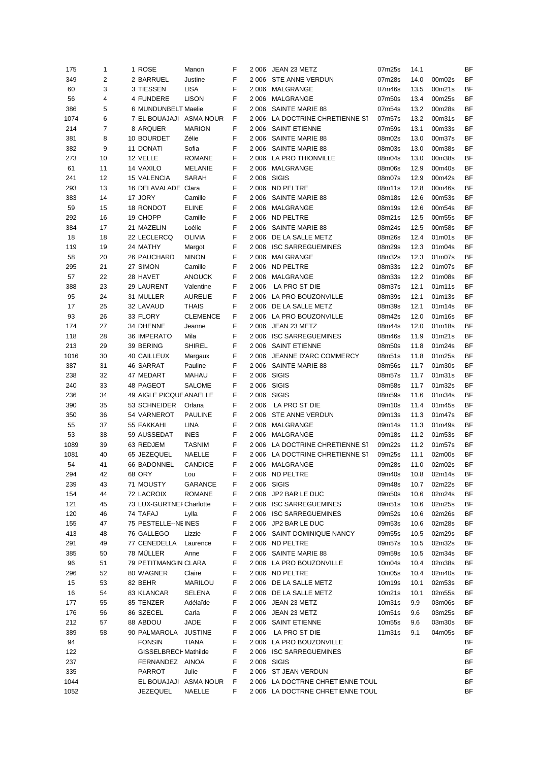| 175  | 1              | 1 ROSE             | Manon                       | F      | 2 0 0 6 | JEAN 23 METZ                     | 07m25s             | 14.1 |        | BF        |
|------|----------------|--------------------|-----------------------------|--------|---------|----------------------------------|--------------------|------|--------|-----------|
| 349  | $\overline{2}$ | 2 BARRUEL          | Justine                     | F      | 2 0 0 6 | <b>STE ANNE VERDUN</b>           | 07m28s             | 14.0 | 00m02s | <b>BF</b> |
| 60   | 3              | 3 TIESSEN          | <b>LISA</b>                 | F      | 2 0 0 6 | MALGRANGE                        | 07m46s             | 13.5 | 00m21s | <b>BF</b> |
| 56   | 4              | 4 FUNDERE          | <b>LISON</b>                | F      | 2 0 0 6 | <b>MALGRANGE</b>                 | 07m50s             | 13.4 | 00m25s | <b>BF</b> |
| 386  | 5              |                    | 6 MUNDUNBELT Maelie         | F      | 2 0 0 6 | SAINTE MARIE 88                  | 07m54s             | 13.2 | 00m28s | <b>BF</b> |
| 1074 | 6              |                    | 7 EL BOUAJAJI ASMA NOUR     | F      | 2 0 0 6 | LA DOCTRINE CHRETIENNE ST        | 07m57s             | 13.2 | 00m31s | <b>BF</b> |
| 214  | $\overline{7}$ | 8 ARQUER           | <b>MARION</b>               | F      | 2 0 0 6 | <b>SAINT ETIENNE</b>             | 07m59s             | 13.1 | 00m33s | BF        |
| 381  | 8              | 10 BOURDET         | Zélie                       | F      | 2 0 0 6 | SAINTE MARIE 88                  | 08m02s             | 13.0 | 00m37s | <b>BF</b> |
| 382  | 9              | 11 DONATI          | Sofia                       | F      | 2 0 0 6 | SAINTE MARIE 88                  | 08m03s             | 13.0 | 00m38s | <b>BF</b> |
| 273  | 10             | 12 VELLE           | <b>ROMANE</b>               | F      | 2 0 0 6 | LA PRO THIONVILLE                | 08m04s             | 13.0 | 00m38s | <b>BF</b> |
| 61   | 11             | 14 VAXILO          | <b>MELANIE</b>              | F      | 2 0 0 6 | MALGRANGE                        | 08m06s             | 12.9 | 00m40s | <b>BF</b> |
| 241  | 12             | <b>15 VALENCIA</b> | <b>SARAH</b>                | F      | 2 0 0 6 | <b>SIGIS</b>                     | 08m07s             | 12.9 | 00m42s | <b>BF</b> |
| 293  | 13             |                    | 16 DELAVALADE Clara         | F      | 2 0 0 6 | <b>ND PELTRE</b>                 | 08m11s             | 12.8 | 00m46s | <b>BF</b> |
| 383  | 14             | 17 JORY            | Camille                     | F      | 2 0 0 6 | <b>SAINTE MARIE 88</b>           | 08m18s             | 12.6 | 00m53s | <b>BF</b> |
|      | 15             |                    | <b>ELINE</b>                | F      | 2 0 0 6 | MALGRANGE                        |                    | 12.6 |        | <b>BF</b> |
| 59   |                | 18 RONDOT          |                             | F      |         |                                  | 08m19s             |      | 00m54s | <b>BF</b> |
| 292  | 16             | 19 CHOPP           | Camille                     |        | 2 0 0 6 | ND PELTRE                        | 08m21s             | 12.5 | 00m55s |           |
| 384  | 17             | 21 MAZELIN         | Loélie                      | F      | 2 0 0 6 | SAINTE MARIE 88                  | 08m24s             | 12.5 | 00m58s | <b>BF</b> |
| 18   | 18             | 22 LECLERCQ        | <b>OLIVIA</b>               | F      | 2 0 0 6 | DE LA SALLE METZ                 | 08m26s             | 12.4 | 01m01s | BF        |
| 119  | 19             | 24 MATHY           | Margot                      | F      | 2 0 0 6 | <b>ISC SARREGUEMINES</b>         | 08m29s             | 12.3 | 01m04s | <b>BF</b> |
| 58   | 20             | 26 PAUCHARD        | <b>NINON</b>                | F      | 2 0 0 6 | MALGRANGE                        | 08m32s             | 12.3 | 01m07s | <b>BF</b> |
| 295  | 21             | 27 SIMON           | Camille                     | F      | 2 0 0 6 | <b>ND PELTRE</b>                 | 08m33s             | 12.2 | 01m07s | <b>BF</b> |
| 57   | 22             | 28 HAVET           | <b>ANOUCK</b>               | F      | 2 0 0 6 | MALGRANGE                        | 08m33s             | 12.2 | 01m08s | <b>BF</b> |
| 388  | 23             | 29 LAURENT         | Valentine                   | F      | 2 0 0 6 | LA PRO ST DIE                    | 08m37s             | 12.1 | 01m11s | <b>BF</b> |
| 95   | 24             | 31 MULLER          | <b>AURELIE</b>              | F      | 2 0 0 6 | LA PRO BOUZONVILLE               | 08m39s             | 12.1 | 01m13s | <b>BF</b> |
| 17   | 25             | 32 LAVAUD          | <b>THAIS</b>                | F      | 2 0 0 6 | DE LA SALLE METZ                 | 08m39s             | 12.1 | 01m14s | <b>BF</b> |
| 93   | 26             | 33 FLORY           | <b>CLEMENCE</b>             | F      | 2 0 0 6 | LA PRO BOUZONVILLE               | 08m42s             | 12.0 | 01m16s | <b>BF</b> |
| 174  | 27             | 34 DHENNE          | Jeanne                      | F      | 2 0 0 6 | JEAN 23 METZ                     | 08m44s             | 12.0 | 01m18s | <b>BF</b> |
| 118  | 28             | 36 IMPERATO        | Mila                        | F      | 2 0 0 6 | <b>ISC SARREGUEMINES</b>         | 08m46s             | 11.9 | 01m21s | <b>BF</b> |
| 213  | 29             | 39 BERING          | <b>SHIREL</b>               | F      | 2 0 0 6 | <b>SAINT ETIENNE</b>             | 08m50s             | 11.8 | 01m24s | <b>BF</b> |
| 1016 | 30             | 40 CAILLEUX        | Margaux                     | F      | 2 0 0 6 | JEANNE D'ARC COMMERCY            | 08m51s             | 11.8 | 01m25s | <b>BF</b> |
| 387  | 31             | 46 SARRAT          | Pauline                     | F      | 2 0 0 6 | SAINTE MARIE 88                  | 08m56s             | 11.7 | 01m30s | BF        |
| 238  | 32             | 47 MEDART          | <b>MAHAU</b>                | F      | 2 0 0 6 | <b>SIGIS</b>                     | 08m57s             | 11.7 | 01m31s | <b>BF</b> |
| 240  | 33             | 48 PAGEOT          | <b>SALOME</b>               | F      | 2 0 0 6 | <b>SIGIS</b>                     | 08m58s             | 11.7 | 01m32s | <b>BF</b> |
| 236  | 34             |                    | 49 AIGLE PICQUE ANAELLE     | F      | 2 0 0 6 | <b>SIGIS</b>                     | 08m59s             | 11.6 | 01m34s | <b>BF</b> |
| 390  | 35             | 53 SCHNEIDER       | Orlana                      | F      | 2 0 0 6 | LA PRO ST DIE                    | 09m10s             | 11.4 | 01m45s | <b>BF</b> |
| 350  | 36             | 54 VARNEROT        | <b>PAULINE</b>              | F      | 2 0 0 6 | STE ANNE VERDUN                  | 09m13s             | 11.3 | 01m47s | <b>BF</b> |
| 55   | 37             | 55 FAKKAHI         | <b>LINA</b>                 | F      | 2 0 0 6 | MALGRANGE                        | 09m14s             | 11.3 | 01m49s | <b>BF</b> |
| 53   | 38             | 59 AUSSEDAT        | <b>INES</b>                 | F      | 2 0 0 6 | <b>MALGRANGE</b>                 | 09m18s             | 11.2 | 01m53s | <b>BF</b> |
| 1089 | 39             | 63 REDJEM          | <b>TASNIM</b>               | F      | 2 0 0 6 | LA DOCTRINE CHRETIENNE ST        | 09m22s             | 11.2 | 01m57s | BF        |
| 1081 | 40             | 65 JEZEQUEL        | NAELLE                      | F      | 2 0 0 6 | LA DOCTRINE CHRETIENNE ST        | 09m25s             | 11.1 | 02m00s | BF        |
| 54   | 41             | 66 BADONNEL        | <b>CANDICE</b>              | F      |         | 2 006 MALGRANGE                  | 09m28s             | 11.0 | 02m02s | <b>BF</b> |
|      |                |                    |                             |        |         |                                  |                    |      |        |           |
| 294  | 42             | 68 ORY             | Lou                         | F<br>F |         | 2 006 ND PELTRE<br>2 006 SIGIS   | 09m40s             | 10.8 | 02m14s | ВF<br>BF  |
| 239  | 43             | 71 MOUSTY          | GARANCE                     |        |         |                                  | 09m48s             | 10.7 | 02m22s |           |
| 154  | 44             | 72 LACROIX         | <b>ROMANE</b>               | F      |         | 2 006 JP2 BAR LE DUC             | 09m50s             | 10.6 | 02m24s | BF        |
| 121  | 45             |                    | 73 LUX-GURTNEF Charlotte    | F      |         | 2 006 ISC SARREGUEMINES          | 09m51s             | 10.6 | 02m25s | BF        |
| 120  | 46             | 74 TAFAJ           | Lylla                       | F      |         | 2 006 ISC SARREGUEMINES          | 09m52s             | 10.6 | 02m26s | BF        |
| 155  | 47             |                    | 75 PESTELLE--NE INES        | F      |         | 2 006 JP2 BAR LE DUC             | 09m53s             | 10.6 | 02m28s | BF        |
| 413  | 48             | 76 GALLEGO         | Lizzie                      | F      | 2 0 0 6 | SAINT DOMINIQUE NANCY            | 09m55s             | 10.5 | 02m29s | BF        |
| 291  | 49             | 77 CENEDELLA       | Laurence                    | F      |         | 2 006 ND PELTRE                  | 09m57s             | 10.5 | 02m32s | BF        |
| 385  | 50             | 78 MÜLLER          | Anne                        | F      |         | 2 006 SAINTE MARIE 88            | 09m59s             | 10.5 | 02m34s | BF        |
| 96   | 51             |                    | 79 PETITMANGIN CLARA        | F      |         | 2 006 LA PRO BOUZONVILLE         | 10m04s             | 10.4 | 02m38s | BF        |
| 296  | 52             | 80 WAGNER          | Claire                      | F      |         | 2 006 ND PELTRE                  | 10m05s             | 10.4 | 02m40s | BF        |
| 15   | 53             | 82 BEHR            | <b>MARILOU</b>              | F      |         | 2 006 DE LA SALLE METZ           | 10m19s             | 10.1 | 02m53s | BF        |
| 16   | 54             | 83 KLANCAR         | <b>SELENA</b>               | F      |         | 2 006 DE LA SALLE METZ           | 10m21s             | 10.1 | 02m55s | BF        |
| 177  | 55             | 85 TENZER          | Adélaïde                    | F      | 2 0 0 6 | JEAN 23 METZ                     | 10m31s             | 9.9  | 03m06s | BF        |
| 176  | 56             | 86 SZECEL          | Carla                       | F      |         | 2 006 JEAN 23 METZ               | 10m51s             | 9.6  | 03m25s | BF        |
| 212  | 57             | 88 ABDOU           | JADE                        | F      |         | 2 006 SAINT ETIENNE              | 10m55s             | 9.6  | 03m30s | BF        |
| 389  | 58             | 90 PALMAROLA       | <b>JUSTINE</b>              | F      | 2 0 0 6 | LA PRO ST DIE                    | 11 <sub>m31s</sub> | 9.1  | 04m05s | BF        |
| 94   |                | <b>FONSIN</b>      | <b>TIANA</b>                | F      |         | 2 006 LA PRO BOUZONVILLE         |                    |      |        | BF        |
| 122  |                |                    | <b>GISSELBRECH Mathilde</b> | F      |         | 2 006 ISC SARREGUEMINES          |                    |      |        | BF        |
| 237  |                |                    | FERNANDEZ AINOA             | F      |         | 2 006 SIGIS                      |                    |      |        | BF        |
| 335  |                | PARROT             | Julie                       | F      |         | 2 006 ST JEAN VERDUN             |                    |      |        | BF        |
| 1044 |                |                    | EL BOUAJAJI ASMA NOUR       | F      |         | 2 006 LA DOCTRNE CHRETIENNE TOUL |                    |      |        | BF        |
| 1052 |                | JEZEQUEL           | NAELLE                      | F      |         | 2 006 LA DOCTRNE CHRETIENNE TOUL |                    |      |        | BF        |
|      |                |                    |                             |        |         |                                  |                    |      |        |           |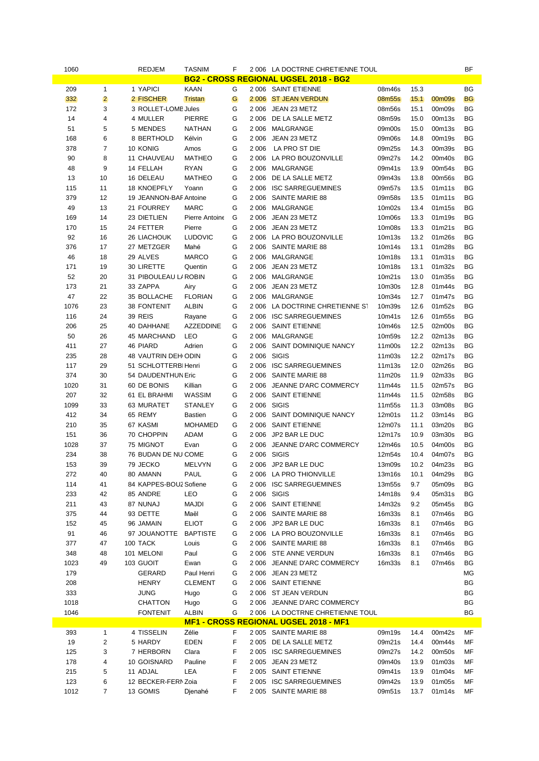| 1060 |                | <b>REDJEM</b>          | <b>TASNIM</b>   | F |         | 2 006 LA DOCTRNE CHRETIENNE TOUL              |        |      |        | <b>BF</b> |
|------|----------------|------------------------|-----------------|---|---------|-----------------------------------------------|--------|------|--------|-----------|
|      |                |                        |                 |   |         | <b>BG2 - CROSS REGIONAL UGSEL 2018 - BG2</b>  |        |      |        |           |
| 209  | $\mathbf{1}$   | 1 YAPICI               | <b>KAAN</b>     | G |         | 2 006 SAINT ETIENNE                           | 08m46s | 15.3 |        | ΒG        |
| 332  | $\overline{2}$ | 2 FISCHER              | Tristan         | G |         | 2 006 ST JEAN VERDUN                          | 08m55s | 15.1 | 00m09s | <b>BG</b> |
| 172  | 3              | 3 ROLLET-LOME Jules    |                 | G |         | 2 006 JEAN 23 METZ                            | 08m56s | 15.1 | 00m09s | ΒG        |
| 14   | 4              | 4 MULLER               | <b>PIERRE</b>   | G |         | 2 006 DE LA SALLE METZ                        | 08m59s | 15.0 | 00m13s | ΒG        |
| 51   | 5              | 5 MENDES               | <b>NATHAN</b>   | G |         | 2 006 MALGRANGE                               | 09m00s | 15.0 | 00m13s | ΒG        |
| 168  | 6              | 8 BERTHOLD             | Kélvin          | G | 2 006   | JEAN 23 METZ                                  | 09m06s | 14.8 | 00m19s | ΒG        |
| 378  | $\overline{7}$ | 10 KONIG               | Amos            | G | 2 0 0 6 | LA PRO ST DIE                                 | 09m25s | 14.3 | 00m39s | ΒG        |
| 90   | 8              | <b>11 CHAUVEAU</b>     | <b>MATHEO</b>   | G |         | 2 006 LA PRO BOUZONVILLE                      | 09m27s | 14.2 | 00m40s | ΒG        |
| 48   | 9              | 14 FELLAH              | <b>RYAN</b>     | G |         | 2 006 MALGRANGE                               | 09m41s | 13.9 | 00m54s | ΒG        |
| 13   | 10             | 16 DELEAU              | <b>MATHEO</b>   | G | 2 0 0 6 | DE LA SALLE METZ                              | 09m43s | 13.8 | 00m56s | ΒG        |
| 115  | 11             | 18 KNOEPFLY            | Yoann           | G | 2 006   | <b>ISC SARREGUEMINES</b>                      | 09m57s | 13.5 | 01m11s | ΒG        |
| 379  | 12             | 19 JEANNON-BAF Antoine |                 | G | 2 0 0 6 | SAINTE MARIE 88                               | 09m58s | 13.5 | 01m11s | ΒG        |
| 49   | 13             | 21 FOURREY             | <b>MARC</b>     | G |         | 2006 MALGRANGE                                | 10m02s | 13.4 | 01m15s | ΒG        |
| 169  | 14             | 23 DIETLIEN            | Pierre Antoine  | G | 2 006   | JEAN 23 METZ                                  | 10m06s | 13.3 | 01m19s | ВG        |
| 170  | 15             | 24 FETTER              | Pierre          | G |         | 2 006 JEAN 23 METZ                            | 10m08s | 13.3 | 01m21s | ΒG        |
| 92   | 16             | <b>26 LIACHOUK</b>     | <b>LUDOVIC</b>  | G |         | 2 006 LA PRO BOUZONVILLE                      | 10m13s | 13.2 | 01m26s | ΒG        |
| 376  | 17             | 27 METZGER             | Mahé            | G |         | 2006 SAINTE MARIE 88                          | 10m14s | 13.1 | 01m28s | ΒG        |
| 46   | 18             | 29 ALVES               | <b>MARCO</b>    | G |         | 2006 MALGRANGE                                | 10m18s | 13.1 | 01m31s | ΒG        |
| 171  | 19             | 30 LIRETTE             | Quentin         | G |         | 2 006 JEAN 23 METZ                            | 10m18s | 13.1 | 01m32s | ΒG        |
| 52   | 20             | 31 PIBOULEAU L/ ROBIN  |                 | G | 2006    | MALGRANGE                                     | 10m21s | 13.0 | 01m35s | ΒG        |
| 173  | 21             | 33 ZAPPA               | Airy            | G |         | 2 006 JEAN 23 METZ                            | 10m30s | 12.8 | 01m44s | ΒG        |
| 47   | 22             | 35 BOLLACHE            | <b>FLORIAN</b>  | G |         | 2006 MALGRANGE                                | 10m34s | 12.7 | 01m47s | ΒG        |
| 1076 | 23             | 38 FONTENIT            | <b>ALBIN</b>    | G |         | 2 006 LA DOCTRINE CHRETIENNE ST               | 10m39s | 12.6 | 01m52s | ΒG        |
| 116  | 24             | 39 REIS                | Rayane          | G |         | 2006 ISC SARREGUEMINES                        | 10m41s | 12.6 | 01m55s | ΒG        |
| 206  | 25             | 40 DAHHANE             | AZZEDDINE       | G | 2 006   | SAINT ETIENNE                                 | 10m46s | 12.5 | 02m00s | ВG        |
| 50   | 26             | 45 MARCHAND            | LEO             | G | 2 006   | MALGRANGE                                     | 10m59s | 12.2 | 02m13s | ΒG        |
| 411  | 27             | 46 PIARD               | Adrien          | G | 2 0 0 6 | SAINT DOMINIQUE NANCY                         | 11m00s | 12.2 | 02m13s | ΒG        |
| 235  | 28             | 48 VAUTRIN DEH ODIN    |                 | G | 2 0 0 6 | SIGIS                                         | 11m03s | 12.2 | 02m17s | ВG        |
| 117  | 29             | 51 SCHLOTTERB Henri    |                 | G | 2 006   | <b>ISC SARREGUEMINES</b>                      | 11m13s | 12.0 | 02m26s | ΒG        |
| 374  | 30             | 54 DAUDENTHUN Eric     |                 | G |         | 2 006 SAINTE MARIE 88                         | 11m20s | 11.9 | 02m33s | ΒG        |
| 1020 | 31             | 60 DE BONIS            | Killian         | G | 2006    | JEANNE D'ARC COMMERCY                         | 11m44s | 11.5 | 02m57s | ΒG        |
| 207  | 32             | 61 EL BRAHMI           | WASSIM          | G |         | 2 006 SAINT ETIENNE                           | 11m44s | 11.5 | 02m58s | ВG        |
| 1099 | 33             | 63 MURATET             | <b>STANLEY</b>  | G |         | 2 006 SIGIS                                   | 11m55s | 11.3 | 03m08s | ΒG        |
| 412  | 34             | 65 REMY                | <b>Bastien</b>  | G | 2006    | SAINT DOMINIQUE NANCY                         | 12m01s | 11.2 | 03m14s | ΒG        |
| 210  | 35             | 67 KASMI               | <b>MOHAMED</b>  | G |         | 2 006 SAINT ETIENNE                           | 12m07s | 11.1 | 03m20s | ВG        |
| 151  | 36             | 70 CHOPPIN             | <b>ADAM</b>     | G |         | 2 006 JP2 BAR LE DUC                          | 12m17s | 10.9 | 03m30s | ΒG        |
| 1028 | 37             | 75 MIGNOT              | Evan            | G |         | 2 006 JEANNE D'ARC COMMERCY                   | 12m46s | 10.5 | 04m00s | ΒG        |
| 234  | 38             | 76 BUDAN DE NU COME    |                 | G |         | 2 006 SIGIS                                   | 12m54s | 10.4 | 04m07s | ΒG        |
| 153  | 39             | 79 JECKO               | MELVYN          | G |         | 2 006 JP2 BAR LE DUC                          | 13m09s | 10.2 | 04m23s | ΒG        |
| 272  | 40             | 80 AMANN               | PAUL            | G |         | 2 006 LA PRO THIONVILLE                       | 13m16s | 10.1 | 04m29s | ВG        |
| 114  | 41             | 84 KAPPES-BOUZ Sofiene |                 | G |         | 2 006 ISC SARREGUEMINES                       | 13m55s | 9.7  | 05m09s | ВG        |
| 233  | 42             | 85 ANDRE               | LEO             | G |         | 2 006 SIGIS                                   | 14m18s | 9.4  | 05m31s | ВG        |
| 211  | 43             | 87 NUNAJ               | <b>MAJDI</b>    | G |         | 2 006 SAINT ETIENNE                           | 14m32s | 9.2  | 05m45s | ВG        |
| 375  | 44             | 93 DETTE               | Maël            | G |         | 2 006 SAINTE MARIE 88                         | 16m33s | 8.1  | 07m46s | ΒG        |
| 152  | 45             | 96 JAMAIN              | <b>ELIOT</b>    | G |         | 2 006 JP2 BAR LE DUC                          | 16m33s | 8.1  | 07m46s | ΒG        |
| 91   | 46             | 97 JOUANOTTE           | <b>BAPTISTE</b> | G |         | 2 006 LA PRO BOUZONVILLE                      | 16m33s | 8.1  | 07m46s | ВG        |
| 377  | 47             | 100 TACK               | Louis           | G |         | 2 006 SAINTE MARIE 88                         | 16m33s | 8.1  | 07m46s | ВG        |
| 348  | 48             | 101 MELONI             | Paul            | G |         | 2 006 STE ANNE VERDUN                         | 16m33s | 8.1  | 07m46s | ΒG        |
| 1023 | 49             | 103 GUOIT              | Ewan            | G |         | 2 006 JEANNE D'ARC COMMERCY                   | 16m33s | 8.1  | 07m46s | ΒG        |
| 179  |                | GERARD                 | Paul Henri      | G |         | 2 006 JEAN 23 METZ                            |        |      |        | ΜG        |
| 208  |                | <b>HENRY</b>           | <b>CLEMENT</b>  | G |         | 2 006 SAINT ETIENNE                           |        |      |        | ΒG        |
| 333  |                | JUNG                   | Hugo            | G |         | 2 006 ST JEAN VERDUN                          |        |      |        | ΒG        |
| 1018 |                | <b>CHATTON</b>         | Hugo            | G |         | 2 006 JEANNE D'ARC COMMERCY                   |        |      |        | ВG        |
| 1046 |                | <b>FONTENIT</b>        | <b>ALBIN</b>    | G |         | 2 006 LA DOCTRNE CHRETIENNE TOUL              |        |      |        | ВG        |
|      |                |                        |                 |   |         | <u> MF1 - CROSS REGIONAL UGSEL 2018 - MF1</u> |        |      |        |           |
| 393  | $\mathbf{1}$   | 4 TISSELIN             | Zélie           | F |         | 2 005 SAINTE MARIE 88                         | 09m19s | 14.4 | 00m42s | MF        |
| 19   | 2              | 5 HARDY                | <b>EDEN</b>     | F |         | 2 005 DE LA SALLE METZ                        | 09m21s | 14.4 | 00m44s | MF        |
| 125  | 3              | 7 HERBORN              | Clara           | F |         | 2 005 ISC SARREGUEMINES                       | 09m27s | 14.2 | 00m50s | ΜF        |
| 178  | 4              | 10 GOISNARD            | Pauline         | F |         | 2 005 JEAN 23 METZ                            | 09m40s | 13.9 | 01m03s | ΜF        |
| 215  | 5              | 11 ADJAL               | LEA             | F |         | 2 005 SAINT ETIENNE                           | 09m41s | 13.9 | 01m04s | ΜF        |
| 123  | 6              | 12 BECKER-FERN Zoia    |                 | F |         | 2 005 ISC SARREGUEMINES                       | 09m42s | 13.9 | 01m05s | ΜF        |
| 1012 | $\overline{7}$ | 13 GOMIS               | Djenahé         | F |         | 2 005 SAINTE MARIE 88                         | 09m51s | 13.7 | 01m14s | MF        |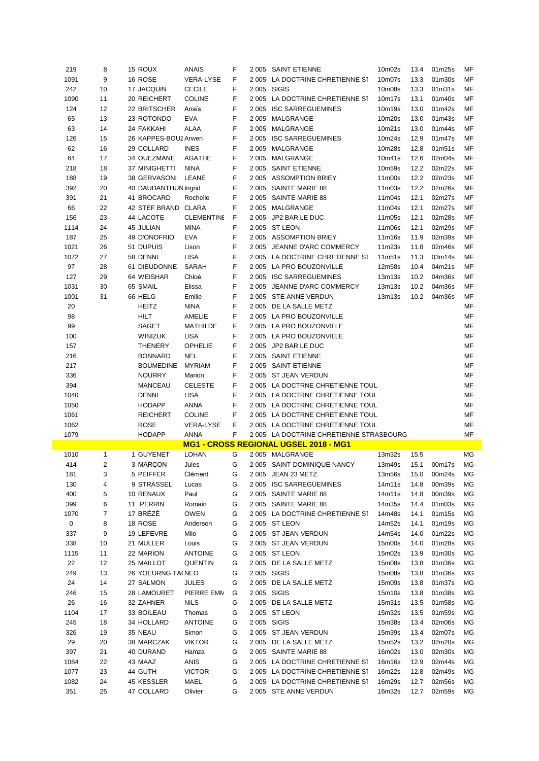| 219  | 8              | 15 ROUX              | <b>ANAIS</b>      | F | 2 0 0 5 | <b>SAINT ETIENNE</b>                    | 10m02s             | 13.4 | 01m25s | MF        |
|------|----------------|----------------------|-------------------|---|---------|-----------------------------------------|--------------------|------|--------|-----------|
| 1091 | 9              | 16 ROSE              | <b>VERA-LYSE</b>  | F |         | 2 005 LA DOCTRINE CHRETIENNE ST         | 10m07s             | 13.3 | 01m30s | MF        |
| 242  | 10             | <b>17 JACQUIN</b>    | <b>CECILE</b>     | F | 2 0 0 5 | SIGIS                                   | 10m08s             | 13.3 | 01m31s | MF        |
| 1090 | 11             | 20 REICHERT          | <b>COLINE</b>     | F |         | 2 005 LA DOCTRINE CHRETIENNE ST         | 10m17s             | 13.1 | 01m40s | MF        |
| 124  | 12             | 22 BRITSCHER         | Anaïs             | F |         | 2 005 ISC SARREGUEMINES                 | 10m19s             | 13.0 | 01m42s | MF        |
| 65   | 13             | 23 ROTONDO           | <b>EVA</b>        | F | 2 0 0 5 | MALGRANGE                               | 10m20s             | 13.0 | 01m43s | MF        |
| 63   | 14             | 24 FAKKAHI           | <b>ALAA</b>       | F |         | 2 005 MALGRANGE                         | 10m21s             | 13.0 | 01m44s | MF        |
| 126  | 15             | 26 KAPPES-BOUZ Arwen |                   | F |         | 2 005 ISC SARREGUEMINES                 | 10m24s             | 12.9 | 01m47s | MF        |
| 62   | 16             | 29 COLLARD           | <b>INES</b>       | F | 2 0 0 5 | MALGRANGE                               | 10m28s             | 12.8 | 01m51s | MF        |
|      |                |                      |                   | F |         |                                         |                    |      |        |           |
| 64   | 17             | 34 OUEZMANE          | <b>AGATHE</b>     |   |         | 2 005 MALGRANGE                         | 10 <sub>m41s</sub> | 12.6 | 02m04s | MF        |
| 218  | 18             | 37 MINIGHETTI        | <b>NINA</b>       | F |         | 2 005 SAINT ETIENNE                     | 10m59s             | 12.2 | 02m22s | MF        |
| 188  | 19             | 38 GERVASONI         | LEANE             | F |         | 2 005 ASSOMPTION BRIEY                  | 11m00s             | 12.2 | 02m23s | MF        |
| 392  | 20             | 40 DAUDANTHUN Ingrid |                   | F |         | 2 005 SAINTE MARIE 88                   | 11m03s             | 12.2 | 02m26s | MF        |
| 391  | 21             | 41 BROCARD           | Rochelle          | F |         | 2 005 SAINTE MARIE 88                   | 11m04s             | 12.1 | 02m27s | MF        |
| 66   | 22             | 42 STEF BRAND CLARA  |                   | F | 2 0 0 5 | MALGRANGE                               | 11m04s             | 12.1 | 02m27s | MF        |
| 156  | 23             | 44 LACOTE            | <b>CLEMENTINE</b> | F |         | 2 005 JP2 BAR LE DUC                    | 11m05s             | 12.1 | 02m28s | MF        |
| 1114 | 24             | 45 JULIAN            | <b>MINA</b>       | F |         | 2 005 ST LEON                           | 11m06s             | 12.1 | 02m29s | MF        |
| 187  | 25             | 49 D'ONOFRIO         | <b>EVA</b>        | F |         | 2 005 ASSOMPTION BRIEY                  | 11m16s             | 11.9 | 02m39s | MF        |
| 1021 | 26             | 51 DUPUIS            | Lison             | F |         | 2 005 JEANNE D'ARC COMMERCY             | 11m23s             | 11.8 | 02m46s | MF        |
| 1072 | 27             | 58 DENNI             | <b>LISA</b>       | F | 2 0 0 5 | LA DOCTRINE CHRETIENNE ST               | 11m51s             | 11.3 | 03m14s | MF        |
| 97   | 28             | 61 DIEUDONNE         | SARAH             | F |         | 2 005 LA PRO BOUZONVILLE                | 12m58s             | 10.4 | 04m21s | MF        |
| 127  | 29             | 64 WEISHAR           | Chloé             | F |         | 2 005 ISC SARREGUEMINES                 | 13m13s             | 10.2 | 04m36s | MF        |
| 1031 | 30             | 65 SMAIL             | Elissa            | F |         | 2 005 JEANNE D'ARC COMMERCY             | 13m13s             | 10.2 | 04m36s | MF        |
| 1001 | 31             | 66 HELG              | Emilie            | F |         | 2 005 STE ANNE VERDUN                   | 13m13s             | 10.2 | 04m36s | MF        |
| 20   |                | <b>HEITZ</b>         | <b>NINA</b>       | F |         | 2 005 DE LA SALLE METZ                  |                    |      |        | MF        |
| 98   |                | <b>HILT</b>          | AMELIE            | F |         | 2 005 LA PRO BOUZONVILLE                |                    |      |        | MF        |
| 99   |                | <b>SAGET</b>         | <b>MATHILDE</b>   | F |         | 2 005 LA PRO BOUZONVILLE                |                    |      |        | MF        |
| 100  |                | <b>WINIZUK</b>       | <b>LISA</b>       | F |         | 2 005 LA PRO BOUZONVILLE                |                    |      |        | MF        |
| 157  |                | <b>THENERY</b>       | <b>OPHELIE</b>    | F |         | 2 005 JP2 BAR LE DUC                    |                    |      |        | MF        |
| 216  |                | <b>BONNARD</b>       | <b>NEL</b>        | F |         | 2 005 SAINT ETIENNE                     |                    |      |        | MF        |
| 217  |                | <b>BOUMEDINE</b>     | <b>MYRIAM</b>     | F | 2 0 0 5 | <b>SAINT ETIENNE</b>                    |                    |      |        | MF        |
| 336  |                | <b>NOURRY</b>        | Marion            | F |         | 2 005 ST JEAN VERDUN                    |                    |      |        | MF        |
| 394  |                | <b>MANCEAU</b>       | <b>CELESTE</b>    | F |         | 2 005 LA DOCTRNE CHRETIENNE TOUL        |                    |      |        | MF        |
|      |                |                      |                   |   |         |                                         |                    |      |        |           |
|      |                |                      |                   | F |         |                                         |                    |      |        |           |
| 1040 |                | <b>DENNI</b>         | <b>LISA</b>       | F |         | 2 005 LA DOCTRNE CHRETIENNE TOUL        |                    |      |        | MF        |
| 1050 |                | <b>HODAPP</b>        | <b>ANNA</b>       |   |         | 2 005 LA DOCTRNE CHRETIENNE TOUL        |                    |      |        | MF        |
| 1061 |                | <b>REICHERT</b>      | <b>COLINE</b>     | F |         | 2 005 LA DOCTRNE CHRETIENNE TOUL        |                    |      |        | MF        |
| 1062 |                | ROSE                 | <b>VERA-LYSE</b>  | F |         | 2 005 LA DOCTRNE CHRETIENNE TOUL        |                    |      |        | MF        |
| 1079 |                | <b>HODAPP</b>        | <b>ANNA</b>       | F |         | 2 005 LA DOCTRINE CHRETIENNE STRASBOURG |                    |      |        | MF        |
|      |                |                      |                   |   |         | MG1 - CROSS REGIONAL UGSEL 2018 - MG1   |                    |      |        |           |
| 1010 | 1              | 1 GUYENET            | <b>LOHAN</b>      | G |         | 2 005 MALGRANGE                         | 13m32s             | 15.5 |        | MG        |
| 414  | 2              | 3 MARÇON             | Jules             | G |         | 2 005 SAINT DOMINIQUE NANCY             | 13m49s             | 15.1 | 00m17s | <b>MG</b> |
| 181  | 3              | 5 PEIFFER            | Clément           | G | 2 0 0 5 | JEAN 23 METZ                            | 13m56s             | 15.0 | 00m24s | МG        |
| 130  | 4              | 9 STRASSEL           | Lucas             | G |         | 2 005 ISC SARREGUEMINES                 | 14m11s             | 14.8 | 00m39s | МG        |
| 400  | 5              | 10 RENAUX            | Paul              | G |         | 2 005 SAINTE MARIE 88                   | 14m11s             | 14.8 | 00m39s | MG        |
| 399  | 6              | 11 PERRIN            | Romain            | G |         | 2 005 SAINTE MARIE 88                   | 14m35s             | 14.4 | 01m03s | МG        |
| 1070 | $\overline{7}$ | 17 BRÉZÉ             | <b>OWEN</b>       | G |         | 2 005 LA DOCTRINE CHRETIENNE ST         | 14m48s             | 14.1 | 01m15s | МG        |
| 0    | 8              | 18 ROSE              | Anderson          | G |         | 2 005 ST LEON                           | 14m52s             | 14.1 | 01m19s | МG        |
| 337  | 9              | 19 LEFEVRE           | Milo              | G |         | 2 005 ST JEAN VERDUN                    | 14m54s             | 14.0 | 01m22s | MG        |
| 338  | 10             | 21 MULLER            | Louis             | G |         | 2 005 ST JEAN VERDUN                    | 15m00s             | 14.0 | 01m28s | МG        |
| 1115 | 11             | 22 MARION            | <b>ANTOINE</b>    | G |         | 2 005 ST LEON                           | 15m02s             | 13.9 | 01m30s | МG        |
| 22   | 12             | 25 MAILLOT           | <b>QUENTIN</b>    | G |         | 2 005 DE LA SALLE METZ                  | 15m08s             | 13.8 | 01m36s | МG        |
| 249  | 13             | 26 YOEURNG TAINEO    |                   | G |         | 2 005 SIGIS                             | 15m08s             | 13.8 | 01m36s | МG        |
| 24   | 14             | 27 SALMON            | JULES             | G |         | 2 005 DE LA SALLE METZ                  | 15m09s             | 13.8 | 01m37s | МG        |
| 246  | 15             | 28 LAMOURET          | PIERRE EMN        | G |         | 2 005 SIGIS                             | 15m10s             | 13.8 | 01m38s | МG        |
| 26   | 16             | 32 ZAHNER            | <b>NILS</b>       | G |         | 2 005 DE LA SALLE METZ                  | 15m31s             | 13.5 | 01m58s | МG        |
| 1104 | 17             | 33 BOILEAU           | Thomas            | G |         | 2 005 ST LEON                           | 15m32s             | 13.5 | 01m59s | МG        |
| 245  | 18             | 34 HOLLARD           | <b>ANTOINE</b>    | G |         | 2 005 SIGIS                             | 15m38s             | 13.4 | 02m06s | МG        |
| 326  | 19             | 35 NEAU              | Simon             | G |         | 2 005 ST JEAN VERDUN                    | 15m39s             | 13.4 | 02m07s | МG        |
| 29   | 20             | 38 MARCZAK           | <b>VIKTOR</b>     | G |         | 2 005 DE LA SALLE METZ                  | 15m52s             | 13.2 | 02m20s | МG        |
| 397  | 21             | 40 DURAND            | Hamza             | G |         | 2 005 SAINTE MARIE 88                   | 16m02s             | 13.0 | 02m30s | МG        |
| 1084 | 22             | 43 MAAZ              | ANIS              | G |         | 2 005 LA DOCTRINE CHRETIENNE ST         | 16m16s             | 12.9 | 02m44s | МG        |
| 1077 | 23             | 44 GUTH              | <b>VICTOR</b>     | G |         | 2 005 LA DOCTRINE CHRETIENNE ST         | 16m22s             | 12.8 | 02m49s | МG        |
| 1082 | 24             | 45 KESSLER           | MAEL              | G |         | 2 005 LA DOCTRINE CHRETIENNE ST         | 16m29s             | 12.7 | 02m56s | МG        |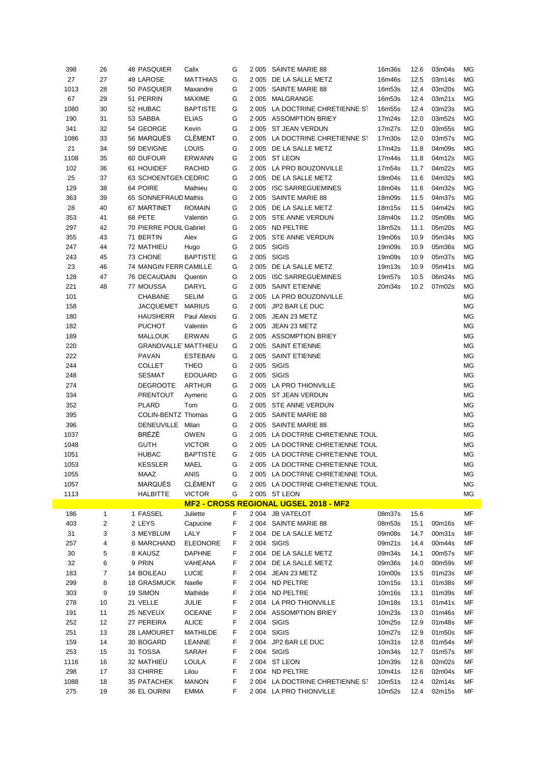| 398  | 26 | <b>48 PASQUIER</b>         | Calix           | G | 2 005   | SAINTE MARIE 88                               | 16m36s | 12.6 | 03m04s | МG   |
|------|----|----------------------------|-----------------|---|---------|-----------------------------------------------|--------|------|--------|------|
| 27   | 27 | 49 LAROSE                  | <b>MATTHIAS</b> | G | 2 0 0 5 | DE LA SALLE METZ                              | 16m46s | 12.5 | 03m14s | МG   |
| 1013 | 28 | 50 PASQUIER                | Maxandre        | G | 2 0 0 5 | SAINTE MARIE 88                               | 16m53s | 12.4 | 03m20s | МG   |
| 67   | 29 | 51 PERRIN                  | <b>MAXIME</b>   | G | 2 0 0 5 | MALGRANGE                                     | 16m53s | 12.4 | 03m21s | MG   |
| 1080 | 30 | 52 HUBAC                   | <b>BAPTISTE</b> | G | 2 0 0 5 | LA DOCTRINE CHRETIENNE ST                     | 16m55s | 12.4 | 03m23s | МG   |
| 190  | 31 | 53 SABBA                   | <b>ELIAS</b>    | G |         | 2 005 ASSOMPTION BRIEY                        | 17m24s | 12.0 | 03m52s | MG   |
| 341  | 32 | 54 GEORGE                  | Kevin           | G | 2 0 0 5 | ST JEAN VERDUN                                | 17m27s |      | 03m55s | ΜG   |
|      |    |                            |                 |   |         |                                               |        | 12.0 |        |      |
| 1086 | 33 | 56 MARQUÈS                 | <b>CLÉMENT</b>  | G | 2 0 0 5 | LA DOCTRINE CHRETIENNE ST                     | 17m30s | 12.0 | 03m57s | МG   |
| 21   | 34 | 59 DEVIGNE                 | LOUIS           | G | 2 0 0 5 | DE LA SALLE METZ                              | 17m42s | 11.8 | 04m09s | МG   |
| 1108 | 35 | 60 DUFOUR                  | <b>ERWANN</b>   | G |         | 2 005 ST LEON                                 | 17m44s | 11.8 | 04m12s | MG   |
| 102  | 36 | 61 HOUIDEF                 | <b>RACHID</b>   | G |         | 2 005 LA PRO BOUZONVILLE                      | 17m54s | 11.7 | 04m22s | MG   |
| 25   | 37 | 63 SCHOENTGEN CEDRIC       |                 | G | 2 0 0 5 | DE LA SALLE METZ                              | 18m04s | 11.6 | 04m32s | МG   |
| 129  | 38 | 64 POIRE                   | Mathieu         | G | 2 0 0 5 | <b>ISC SARREGUEMINES</b>                      | 18m04s | 11.6 | 04m32s | MG   |
| 363  | 39 | 65 SONNEFRAUD Mathis       |                 | G | 2 0 0 5 | SAINTE MARIE 88                               | 18m09s | 11.5 | 04m37s | MG   |
| 28   | 40 | 67 MARTINET                | <b>ROMAIN</b>   | G | 2 0 0 5 | DE LA SALLE METZ                              | 18m15s | 11.5 | 04m42s | MG   |
| 353  | 41 | 68 PETE                    | Valentin        | G |         | 2 005 STE ANNE VERDUN                         | 18m40s | 11.2 | 05m08s | МG   |
| 297  | 42 | 70 PIERRE POUIL Gabriel    |                 | G | 2 0 0 5 | ND PELTRE                                     | 18m52s | 11.1 | 05m20s | МG   |
| 355  | 43 | 71 BERTIN                  | Alex            | G | 2 0 0 5 | STE ANNE VERDUN                               | 19m06s | 10.9 | 05m34s | ΜG   |
| 247  | 44 | 72 MATHIEU                 | Hugo            | G | 2 0 0 5 | <b>SIGIS</b>                                  | 19m09s | 10.9 | 05m36s | МG   |
| 243  | 45 | 73 CHONE                   | <b>BAPTISTE</b> | G | 2 0 0 5 | SIGIS                                         | 19m09s | 10.9 | 05m37s | МG   |
| 23   | 46 | 74 MANGIN FERR CAMILLE     |                 | G |         | 2 005 DE LA SALLE METZ                        | 19m13s | 10.9 | 05m41s | MG   |
| 128  | 47 | 76 DECAUDAIN               | Quentin         | G | 2 0 0 5 | <b>ISC SARREGUEMINES</b>                      | 19m57s | 10.5 | 06m24s | МG   |
| 221  | 48 | 77 MOUSSA                  | <b>DARYL</b>    | G |         | 2 005 SAINT ETIENNE                           | 20m34s | 10.2 | 07m02s | ΜG   |
| 101  |    | <b>CHABANE</b>             | <b>SELIM</b>    | G | 2 0 0 5 | LA PRO BOUZONVILLE                            |        |      |        | ΜG   |
| 158  |    | JACQUEMET MARIUS           |                 | G |         | 2 005 JP2 BAR LE DUC                          |        |      |        | ΜG   |
| 180  |    | <b>HAUSHERR</b>            | Paul Alexis     | G | 2 0 0 5 | JEAN 23 METZ                                  |        |      |        | ΜG   |
| 182  |    | <b>PUCHOT</b>              | Valentin        | G | 2 0 0 5 | JEAN 23 METZ                                  |        |      |        | ΜG   |
| 189  |    | <b>MALLOUK</b>             | <b>ERWAN</b>    | G |         | 2 005 ASSOMPTION BRIEY                        |        |      |        | ΜG   |
| 220  |    | <b>GRANDVALLE MATTHIEU</b> |                 | G | 2 0 0 5 | <b>SAINT ETIENNE</b>                          |        |      |        | ΜG   |
| 222  |    | <b>PAVAN</b>               |                 | G | 2 0 0 5 | <b>SAINT ETIENNE</b>                          |        |      |        | ΜG   |
|      |    |                            | <b>ESTEBAN</b>  |   |         |                                               |        |      |        |      |
| 244  |    | <b>COLLET</b>              | <b>THEO</b>     | G | 2 0 0 5 | SIGIS                                         |        |      |        | ΜG   |
| 248  |    | <b>SESMAT</b>              | <b>EDOUARD</b>  | G | 2 0 0 5 | <b>SIGIS</b>                                  |        |      |        | ΜG   |
| 274  |    | <b>DEGROOTE</b>            | <b>ARTHUR</b>   | G |         | 2 005 LA PRO THIONVILLE                       |        |      |        | ΜG   |
| 334  |    | <b>PRENTOUT</b>            | Aymeric         | G |         | 2 005 ST JEAN VERDUN                          |        |      |        | ΜG   |
| 352  |    | <b>PLARD</b>               | Tom             | G | 2 0 0 5 | STE ANNE VERDUN                               |        |      |        | ΜG   |
| 395  |    | COLIN-BENTZ Thomas         |                 | G | 2 0 0 5 | SAINTE MARIE 88                               |        |      |        | ΜG   |
| 396  |    | DENEUVILLE Milan           |                 | G | 2 0 0 5 | SAINTE MARIE 88                               |        |      |        | ΜG   |
| 1037 |    | BRÉZÉ                      | <b>OWEN</b>     | G | 2 0 0 5 | LA DOCTRNE CHRETIENNE TOUL                    |        |      |        | ΜG   |
| 1048 |    | <b>GUTH</b>                | <b>VICTOR</b>   | G |         | 2 005 LA DOCTRNE CHRETIENNE TOUL              |        |      |        | ΜG   |
| 1051 |    | <b>HUBAC</b>               | <b>BAPTISTE</b> | G | 2 0 0 5 | LA DOCTRNE CHRETIENNE TOUL                    |        |      |        | ΜG   |
| 1053 |    | <b>KESSLER</b>             | MAEL            | G |         | 2 005 LA DOCTRNE CHRETIENNE TOUL              |        |      |        | MG   |
| 1055 |    | MAAZ                       | <b>ANIS</b>     | G |         | 2 005 LA DOCTRNE CHRETIENNE TOUL              |        |      |        | $MG$ |
| 1057 |    | MARQUÈS                    | <b>CLÉMENT</b>  | G |         | 2 005 LA DOCTRNE CHRETIENNE TOUL              |        |      |        | МG   |
| 1113 |    | <b>HALBITTE</b>            | <b>VICTOR</b>   | G |         | 2 005 ST LEON                                 |        |      |        | ΜG   |
|      |    |                            |                 |   |         | <u> MF2 - CROSS REGIONAL UGSEL 2018 - MF2</u> |        |      |        |      |
| 186  | 1  | 1 FASSEL                   | Juliette        | F |         | 2 004 JB VATELOT                              | 08m37s | 15.6 |        | MF   |
| 403  | 2  | 2 LEYS                     | Capucine        | F |         | 2 004 SAINTE MARIE 88                         | 08m53s | 15.1 | 00m16s | MF   |
| 31   | 3  | 3 MEYBLUM                  | LALY            | F |         | 2 004 DE LA SALLE METZ                        | 09m08s | 14.7 | 00m31s | MF   |
| 257  | 4  | 6 MARCHAND                 | <b>ELEONORE</b> | F |         | 2 004 SIGIS                                   | 09m21s | 14.4 | 00m44s | MF   |
| 30   | 5  | 8 KAUSZ                    | <b>DAPHNE</b>   | F |         | 2 004 DE LA SALLE METZ                        | 09m34s | 14.1 | 00m57s | MF   |
| 32   | 6  | 9 PRIN                     | <b>VAHEANA</b>  | F |         | 2 004 DE LA SALLE METZ                        | 09m36s | 14.0 | 00m59s | MF   |
| 183  | 7  | 14 BOILEAU                 | <b>LUCIE</b>    | F |         | 2 004 JEAN 23 METZ                            | 10m00s | 13.5 | 01m23s | MF   |
| 299  | 8  | <b>18 GRASMUCK</b>         | Naelle          | F |         | 2 004 ND PELTRE                               | 10m15s | 13.1 | 01m38s | MF   |
| 303  | 9  | 19 SIMON                   | Mathilde        | F |         | 2 004 ND PELTRE                               | 10m16s | 13.1 | 01m39s | MF   |
| 278  | 10 | 21 VELLE                   | JULIE           | F |         | 2 004 LA PRO THIONVILLE                       | 10m18s | 13.1 | 01m41s | MF   |
| 191  | 11 | 25 NEVEUX                  | <b>OCEANE</b>   | F |         | 2 004 ASSOMPTION BRIEY                        | 10m23s | 13.0 | 01m46s | MF   |
| 252  | 12 | 27 PEREIRA                 | <b>ALICE</b>    | F |         | 2 004 SIGIS                                   | 10m25s | 12.9 | 01m48s | MF   |
| 251  | 13 | 28 LAMOURET                | <b>MATHILDE</b> | F |         | 2 004 SIGIS                                   | 10m27s | 12.9 | 01m50s | MF   |
| 159  | 14 | 30 BOGARD                  | LEANNE          | F |         | 2 004 JP2 BAR LE DUC                          | 10m31s | 12.8 | 01m54s | MF   |
| 253  | 15 | 31 TOSSA                   | <b>SARAH</b>    | F |         | 2 004 SIGIS                                   | 10m34s | 12.7 | 01m57s | MF   |
| 1116 | 16 | 32 MATHIEU                 | <b>LOULA</b>    | F |         | 2 004 ST LEON                                 | 10m39s | 12.6 | 02m02s | MF   |
| 298  | 17 | 33 CHIRRE                  | Lilou           | F |         | 2 004 ND PELTRE                               | 10m41s | 12.6 | 02m04s | MF   |
| 1088 | 18 | 35 PATACHEK                | <b>MANON</b>    | F |         | 2 004 LA DOCTRINE CHRETIENNE ST               | 10m51s | 12.4 | 02m14s | MF   |
| 275  | 19 | 36 EL OURINI               | <b>EMMA</b>     | F |         | 2 004 LA PRO THIONVILLE                       | 10m52s | 12.4 | 02m15s | MF   |
|      |    |                            |                 |   |         |                                               |        |      |        |      |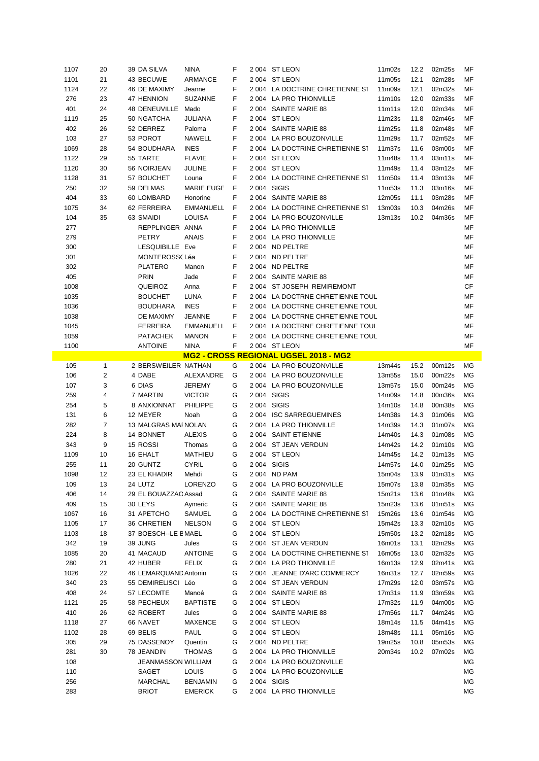| 1107       | 20             | 39 DA SILVA               | <b>NINA</b>                       | F      |       | 2 004 ST LEON                                 | 11m02s             | 12.2 | 02m25s | MF       |
|------------|----------------|---------------------------|-----------------------------------|--------|-------|-----------------------------------------------|--------------------|------|--------|----------|
| 1101       | 21             | 43 BECUWE                 | <b>ARMANCE</b>                    | F      |       | 2 004 ST LEON                                 | 11m05s             | 12.1 | 02m28s | MF       |
| 1124       | 22             | 46 DE MAXIMY              | Jeanne                            | F      |       | 2 004 LA DOCTRINE CHRETIENNE ST               | 11m09s             | 12.1 | 02m32s | MF       |
| 276        | 23             | 47 HENNION                | <b>SUZANNE</b>                    | F      |       | 2 004 LA PRO THIONVILLE                       | 11m10s             | 12.0 | 02m33s | MF       |
| 401        | 24             | 48 DENEUVILLE Mado        |                                   | F      |       | 2 004 SAINTE MARIE 88                         | 11 <sub>m11s</sub> | 12.0 | 02m34s | MF       |
| 1119       | 25             | 50 NGATCHA                | <b>JULIANA</b>                    | F      |       | 2 004 ST LEON                                 | 11m23s             | 11.8 | 02m46s | MF       |
| 402        | 26             | 52 DERREZ                 | Paloma                            | F      |       | 2 004 SAINTE MARIE 88                         | 11m25s             | 11.8 | 02m48s | MF       |
|            |                |                           |                                   |        |       |                                               |                    |      |        |          |
| 103        | 27             | 53 POROT                  | NAWELL                            | F      |       | 2 004 LA PRO BOUZONVILLE                      | 11m29s             | 11.7 | 02m52s | MF       |
| 1069       | 28             | 54 BOUDHARA               | <b>INES</b>                       | F      |       | 2 004 LA DOCTRINE CHRETIENNE ST               | 11m37s             | 11.6 | 03m00s | MF       |
| 1122       | 29             | 55 TARTE                  | <b>FLAVIE</b>                     | F      |       | 2 004 ST LEON                                 | 11m48s             | 11.4 | 03m11s | MF       |
| 1120       | 30             | 56 NOIRJEAN               | JULINE                            | F      |       | 2 004 ST LEON                                 | 11m49s             | 11.4 | 03m12s | MF       |
| 1128       | 31             | 57 BOUCHET                | Louna                             | F      |       | 2 004 LA DOCTRINE CHRETIENNE ST               | 11m50s             | 11.4 | 03m13s | MF       |
| 250        | 32             | 59 DELMAS                 | <b>MARIE EUGE</b>                 | F      |       | 2 004 SIGIS                                   | 11m53s             | 11.3 | 03m16s | MF       |
| 404        | 33             | 60 LOMBARD                | Honorine                          | F      |       | 2 004 SAINTE MARIE 88                         | 12m05s             | 11.1 | 03m28s | MF       |
| 1075       | 34             | 62 FERREIRA               | <b>EMMANUELL</b>                  | F      |       | 2 004 LA DOCTRINE CHRETIENNE ST               | 13m03s             | 10.3 | 04m26s | MF       |
| 104        | 35             | 63 SMAIDI                 | <b>LOUISA</b>                     | F      |       | 2 004 LA PRO BOUZONVILLE                      | 13m13s             | 10.2 | 04m36s | MF       |
| 277        |                | REPPLINGER ANNA           |                                   | F      |       | 2 004 LA PRO THIONVILLE                       |                    |      |        | MF       |
| 279        |                | <b>PETRY</b>              | <b>ANAIS</b>                      | F      |       | 2 004 LA PRO THIONVILLE                       |                    |      |        | MF       |
| 300        |                | LESQUIBILLE Eve           |                                   | F      |       | 2 004 ND PELTRE                               |                    |      |        | MF       |
| 301        |                | MONTEROSS(Léa             |                                   | F      |       | 2 004 ND PELTRE                               |                    |      |        | MF       |
|            |                | <b>PLATERO</b>            |                                   | F      |       | 2 004 ND PELTRE                               |                    |      |        | MF       |
| 302        |                |                           | Manon                             |        |       |                                               |                    |      |        |          |
| 405        |                | <b>PRIN</b>               | Jade                              | F      |       | 2004 SAINTE MARIE 88                          |                    |      |        | MF       |
| 1008       |                | QUEIROZ                   | Anna                              | F      |       | 2 004 ST JOSEPH REMIREMONT                    |                    |      |        | CF       |
| 1035       |                | <b>BOUCHET</b>            | <b>LUNA</b>                       | F      |       | 2 004 LA DOCTRNE CHRETIENNE TOUL              |                    |      |        | MF       |
| 1036       |                | <b>BOUDHARA</b>           | <b>INES</b>                       | F      |       | 2 004 LA DOCTRNE CHRETIENNE TOUL              |                    |      |        | MF       |
| 1038       |                | DE MAXIMY                 | <b>JEANNE</b>                     | F      |       | 2 004 LA DOCTRNE CHRETIENNE TOUL              |                    |      |        | MF       |
| 1045       |                | <b>FERREIRA</b>           | <b>EMMANUELL</b>                  | F      |       | 2 004 LA DOCTRNE CHRETIENNE TOUL              |                    |      |        | MF       |
| 1059       |                | <b>PATACHEK</b>           | <b>MANON</b>                      | F      |       | 2 004 LA DOCTRNE CHRETIENNE TOUL              |                    |      |        | MF       |
| 1100       |                | <b>ANTOINE</b>            | <b>NINA</b>                       | F      |       | 2 004 ST LEON                                 |                    |      |        | MF       |
|            |                |                           |                                   |        |       | <u> MG2 - CROSS REGIONAL UGSEL 2018 - MG2</u> |                    |      |        |          |
| 105        | $\mathbf{1}$   | 2 BERSWEILER NATHAN       |                                   | G      |       | 2 004 LA PRO BOUZONVILLE                      | 13m44s             | 15.2 | 00m12s | ΜG       |
| 106        | $\sqrt{2}$     | 4 DABE                    | ALEXANDRE                         | G      |       | 2 004 LA PRO BOUZONVILLE                      | 13m55s             | 15.0 | 00m22s | ΜG       |
| 107        | 3              | 6 DIAS                    | <b>JEREMY</b>                     | G      |       | 2 004 LA PRO BOUZONVILLE                      | 13m57s             | 15.0 | 00m24s | ΜG       |
|            |                |                           |                                   |        |       |                                               |                    |      | 00m36s |          |
| 259        | 4              | 7 MARTIN                  | <b>VICTOR</b>                     | G      |       | 2 004 SIGIS                                   | 14m09s             | 14.8 |        | ΜG       |
| 254        | 5              | 8 ANXIONNAT               | PHILIPPE                          | G      |       | 2 004 SIGIS                                   | 14m10s             | 14.8 | 00m38s | ΜG       |
| 131        | 6              | 12 MEYER                  | Noah                              | G      |       | 2004 ISC SARREGUEMINES                        | 14m38s             | 14.3 | 01m06s | ΜG       |
| 282        | $\overline{7}$ | 13 MALGRAS MAI NOLAN      |                                   | G      |       | 2 004 LA PRO THIONVILLE                       | 14m39s             | 14.3 | 01m07s | ΜG       |
| 224        | 8              | 14 BONNET                 | <b>ALEXIS</b>                     | G      |       | 2 004 SAINT ETIENNE                           | 14m40s             | 14.3 | 01m08s | ΜG       |
|            | 9              |                           |                                   | G      |       |                                               |                    | 14.2 | 01m10s | ΜG       |
| 343        |                | 15 ROSSI                  | Thomas                            |        |       | 2 004 ST JEAN VERDUN                          | 14m42s             |      |        |          |
| 1109       | 10             | 16 EHALT                  | <b>MATHIEU</b>                    | G      |       | 2 004 ST LEON                                 | 14m45s             | 14.2 | 01m13s | ΜG       |
| 255        | 11             | 20 GUNTZ                  | <b>CYRIL</b>                      | G      |       | 2 004 SIGIS                                   | 14m57s             | 14.0 | 01m25s | ΜG       |
| 1098       | 12             | 23 EL KHADIR              | Mehdi                             | G      | 2 004 | ND PAM                                        | 15m04s             | 13.9 | 01m31s | МG       |
| 109        | 13             | 24 LUTZ                   | <b>LORENZO</b>                    | G      |       | 2 004 LA PRO BOUZONVILLE                      | 15m07s             | 13.8 | 01m35s | ΜG       |
| 406        | 14             | 29 EL BOUAZZAC Assad      |                                   | G      |       | 2 004 SAINTE MARIE 88                         | 15m21s             | 13.6 | 01m48s | ΜG       |
| 409        | 15             | 30 LEYS                   | Aymeric                           | G      |       | 2 004 SAINTE MARIE 88                         | 15m23s             | 13.6 | 01m51s | ΜG       |
| 1067       | 16             | 31 APETCHO                | SAMUEL                            | G      |       | 2 004 LA DOCTRINE CHRETIENNE ST               | 15m26s             | 13.6 | 01m54s | ΜG       |
| 1105       | 17             | 36 CHRETIEN               | <b>NELSON</b>                     | G      |       | 2 004 ST LEON                                 | 15m42s             | 13.3 | 02m10s | ΜG       |
| 1103       | 18             | 37 BOESCH--LE E MAEL      |                                   | G      |       | 2 004 ST LEON                                 | 15m50s             | 13.2 | 02m18s | ΜG       |
| 342        | 19             | 39 JUNG                   | Jules                             | G      |       | 2 004 ST JEAN VERDUN                          | 16m01s             | 13.1 | 02m29s | ΜG       |
| 1085       | 20             | 41 MACAUD                 | <b>ANTOINE</b>                    | G      |       | 2 004 LA DOCTRINE CHRETIENNE ST               | 16m05s             | 13.0 | 02m32s | ΜG       |
| 280        | 21             | 42 HUBER                  | <b>FELIX</b>                      | G      |       | 2 004 LA PRO THIONVILLE                       | 16m13s             | 12.9 | 02m41s | МG       |
| 1026       | 22             | 46 LEMARQUAND Antonin     |                                   | G      |       | 2 004 JEANNE D'ARC COMMERCY                   | 16m31s             | 12.7 | 02m59s | ΜG       |
| 340        | 23             | 55 DEMIRELISCI Léo        |                                   | G      |       | 2 004 ST JEAN VERDUN                          | 17m29s             | 12.0 | 03m57s | ΜG       |
| 408        | 24             | 57 LECOMTE                | Manoé                             | G      |       | 2 004 SAINTE MARIE 88                         | 17m31s             | 11.9 | 03m59s | ΜG       |
| 1121       | 25             | 58 PECHEUX                | <b>BAPTISTE</b>                   | G      |       | 2 004 ST LEON                                 | 17m32s             | 11.9 | 04m00s | ΜG       |
| 410        | 26             | 62 ROBERT                 | Jules                             | G      |       | 2 004 SAINTE MARIE 88                         | 17m56s             | 11.7 | 04m24s | ΜG       |
|            |                |                           |                                   |        |       |                                               |                    |      |        |          |
| 1118       | 27             | 66 NAVET                  | <b>MAXENCE</b>                    | G      |       | 2 004 ST LEON                                 | 18m14s             | 11.5 | 04m41s | ΜG       |
| 1102       | 28             | 69 BELIS                  | PAUL                              | G      |       | 2 004 ST LEON                                 | 18m48s             | 11.1 | 05m16s | ΜG       |
| 305        | 29             | 75 DASSENOY               | Quentin                           | G      |       | 2 004 ND PELTRE                               | 19m25s             | 10.8 | 05m53s | ΜG       |
| 281        | 30             | 78 JEANDIN                | <b>THOMAS</b>                     | G      |       | 2 004 LA PRO THIONVILLE                       | 20m34s             | 10.2 | 07m02s | ΜG       |
| 108        |                | <b>JEANMASSON WILLIAM</b> |                                   | G      |       | 2 004 LA PRO BOUZONVILLE                      |                    |      |        | МG       |
| 110        |                | SAGET                     | <b>LOUIS</b>                      | G      |       | 2 004 LA PRO BOUZONVILLE                      |                    |      |        | ΜG       |
| 256<br>283 |                | MARCHAL<br><b>BRIOT</b>   | <b>BENJAMIN</b><br><b>EMERICK</b> | G<br>G |       | 2 004 SIGIS<br>2 004 LA PRO THIONVILLE        |                    |      |        | ΜG<br>ΜG |